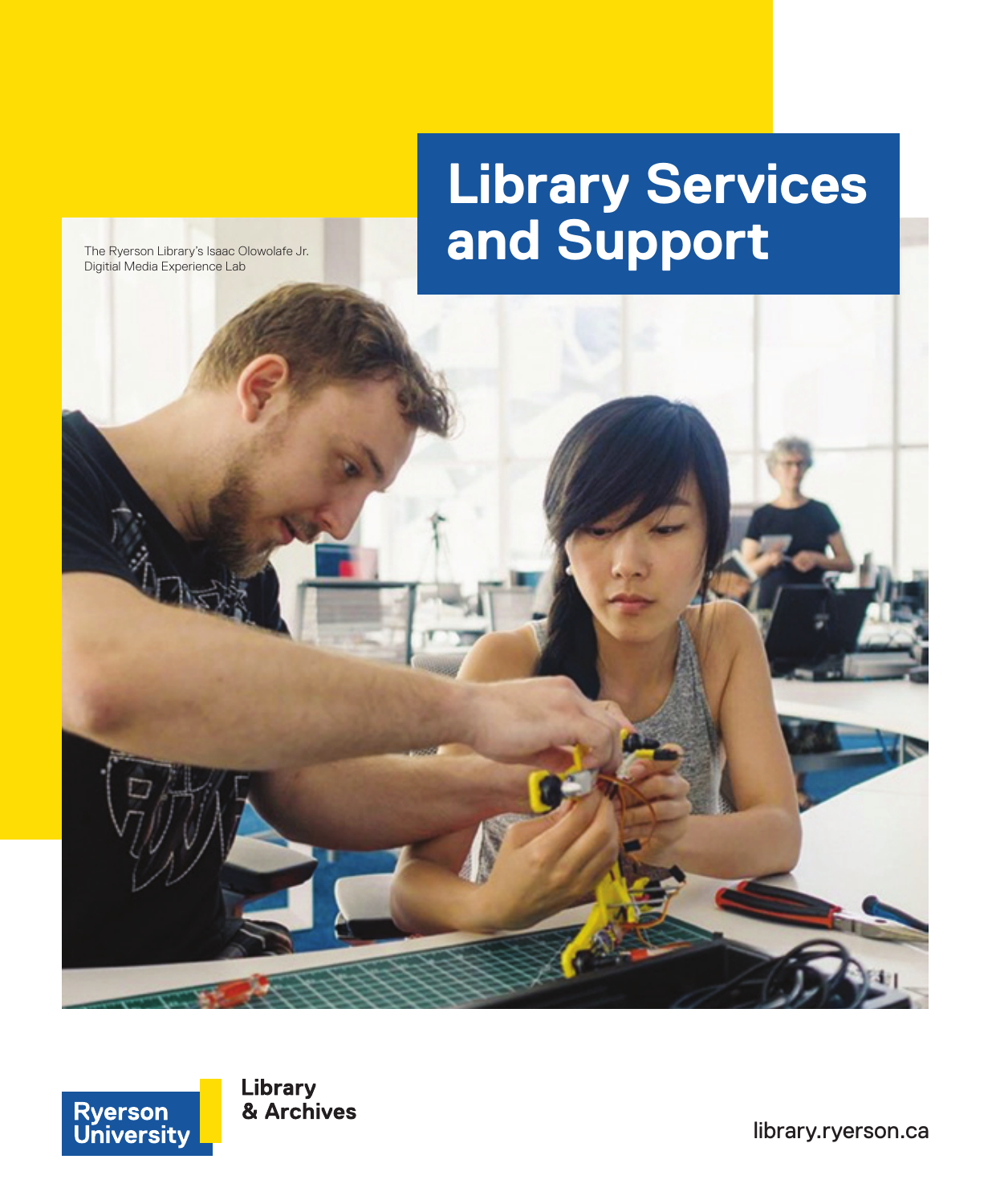# **Library Services**  The Ryerson Library's Isaac Olowolafe Jr. **The Ryerson Library's Isaac Olowolafe Jr. And Support**

The Ryerson Library's Isaac Olowolafe Jr.<br>Digitial Media Experience Lab





Library & Archives

<library.ryerson.ca>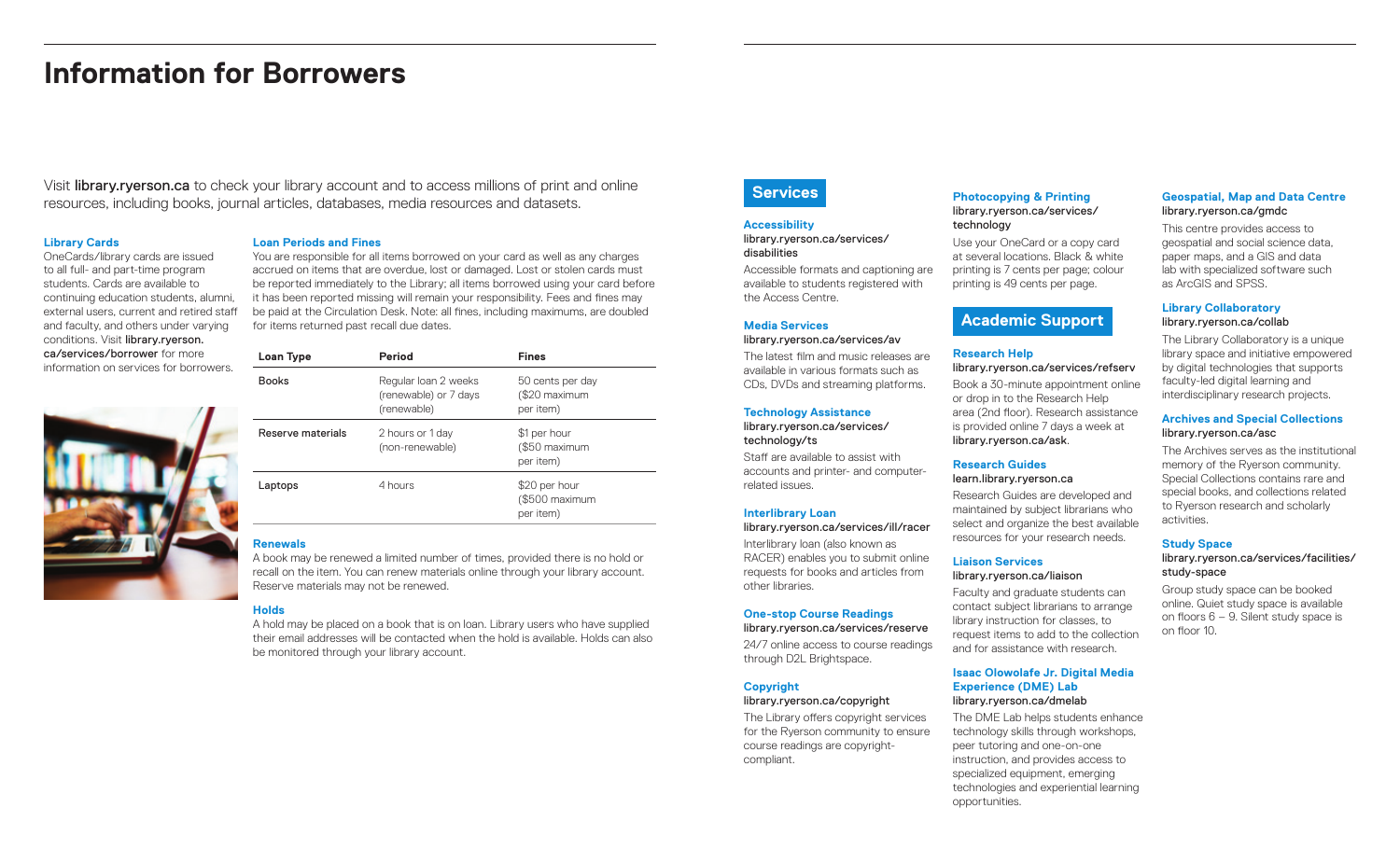## **Information for Borrowers**

Visit <library.ryerson.ca>to check your library account and to access millions of print and online resources, including books, journal articles, databases, media resources and datasets.

#### **Library Cards**

OneCards/library cards are issued to all full- and part-time program students. Cards are available to continuing education students, alumni, external users, current and retired staff and faculty, and others under varying conditions. Visit [library.ryerson.](library.ryerson.ca/services/borrower) [ca/services/borrower](library.ryerson.ca/services/borrower) for more information on services for bor

## **Loan Periods and Fines**

You are responsible for all items borrowed on your card as well as any charges accrued on items that are overdue, lost or damaged. Lost or stolen cards must be reported immediately to the Library; all items borrowed using your card before it has been reported missing will remain your responsibility. Fees and fines may be paid at the Circulation Desk. Note: all fines, including maximums, are doubled for items returned past recall due dates.

| rrowers. | <b>Books</b>      | Regular Ioan 2 weeks<br>(renewable) or 7 days<br>(renewable) | 50 cents per day<br>(\$20 maximum<br>per item) |
|----------|-------------------|--------------------------------------------------------------|------------------------------------------------|
|          | Reserve materials | 2 hours or 1 day<br>(non-renewable)                          | \$1 per hour<br>(\$50 maximum<br>per item)     |
|          | Laptops           | 4 hours                                                      | \$20 per hour<br>(\$500 maximum<br>per item)   |

**Loan Type Period Fines**

## **Renewals**

A book may be renewed a limited number of times, provided there is no hold or recall on the item. You can renew materials online through your library account. Reserve materials may not be renewed.

## **Holds**

A hold may be placed on a book that is on loan. Library users who have supplied their email addresses will be contacted when the hold is available. Holds can also be monitored through your library account.

## **Services**

#### **Accessibility** [library.ryerson.ca/services/](library.ryerson.ca/services/disabilities)

## disabilities

Accessible formats and captioning are available to students registered with the Access Centre.

## **Media Services**

<library.ryerson.ca/services/av> The latest film and music releases are available in various formats such as CDs, DVDs and streaming platforms.

## **Technology Assistance**

#### [library.ryerson.ca/services/](library.ryerson.ca/services/technology/ts) technology/ts

Staff are available to assist with accounts and printer- and computerrelated issues.

## **Interlibrary Loan**

<library.ryerson.ca/services/ill/racer> Interlibrary loan (also known as RACER) enables you to submit online requests for books and articles from other libraries.

## **One-stop Course Readings**

[library.ryerson.ca/services/reserve](library.ryerson.ca/services/ill/racer) 24/7 online access to course readings through D2L Brightspace.

## **Copyright**

<library.ryerson.ca/copyright> The Library offers copyright services for the Ryerson community to ensure course readings are copyrightcompliant.

## **Photocopying & Printing** [library.ryerson.ca/services/](library.ryerson.ca/services/technology) technology

Use your OneCard or a copy card at several locations. Black & white printing is 7 cents per page; colour printing is 49 cents per page.

## **Academic Support**

## **Research Help**

<library.ryerson.ca/services/refserv> Book a 30-minute appointment online or drop in to the Research Help area (2nd floor). Research assistance is provided online 7 days a week at <library.ryerson.ca/ask>.

## **Research Guides**

## <learn.library.ryerson.ca>

Research Guides are developed and maintained by subject librarians who select and organize the best available resources for your research needs.

## **Liaison Services**

## <library.ryerson.ca/liaison>

Faculty and graduate students can contact subject librarians to arrange library instruction for classes, to request items to add to the collection and for assistance with research.

#### **Isaac Olowolafe Jr. Digital Media Experience (DME) Lab** <library.ryerson.ca/dmelab>

The DME Lab helps students enhance technology skills through workshops, peer tutoring and one-on-one instruction, and provides access to specialized equipment, emerging technologies and experiential learning opportunities.

## **Geospatial, Map and Data Centre**  <library.ryerson.ca/gmdc>

This centre provides access to geospatial and social science data, paper maps, and a GIS and data lab with specialized software such as ArcGIS and SPSS.

## **Library Collaboratory** <library.ryerson.ca/collab>

The Library Collaboratory is a unique library space and initiative empowered by digital technologies that supports faculty-led digital learning and interdisciplinary research projects.

## **Archives and Special Collections** <library.ryerson.ca/asc>

The Archives serves as the institutional memory of the Ryerson community. Special Collections contains rare and special books, and collections related to Ryerson research and scholarly activities.

## **Study Space**

### [library.ryerson.ca/services/facilities/](library.ryerson.ca/services/facilities/study-space) study-space

Group study space can be booked online. Quiet study space is available on floors 6 – 9. Silent study space is on floor 10.